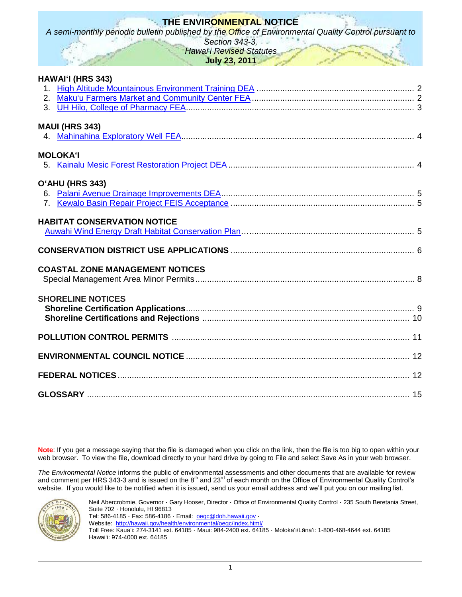# **THE ENVIRONMENTAL NOTICE**

*A semi-monthly periodic bulletin published by the Office of Environmental Quality Control pursuant to* 

*Section 343-3, Hawai*"*i Revised Statutes*

**July 23, 2011**

|                | HAWAI'I (HRS 343)                      |  |
|----------------|----------------------------------------|--|
|                |                                        |  |
|                | <b>MAUI (HRS 343)</b>                  |  |
|                | <b>MOLOKA'I</b>                        |  |
|                | O'AHU (HRS 343)                        |  |
| 7 <sub>1</sub> |                                        |  |
|                | <b>HABITAT CONSERVATION NOTICE</b>     |  |
|                |                                        |  |
|                | <b>COASTAL ZONE MANAGEMENT NOTICES</b> |  |
|                | <b>SHORELINE NOTICES</b>               |  |
|                |                                        |  |
|                |                                        |  |
|                |                                        |  |
|                |                                        |  |

**Note**: If you get a message saying that the file is damaged when you click on the link, then the file is too big to open within your web browser. To view the file, download directly to your hard drive by going to File and select Save As in your web browser.

*The Environmental Notice* informs the public of environmental assessments and other documents that are available for review and comment per HRS 343-3 and is issued on the  $8<sup>th</sup>$  and 23<sup>rd</sup> of each month on the Office of Environmental Quality Control's website. If you would like to be notified when it is issued, send us your email address and we"ll put you on our mailing list.



Neil Abercrobmie, Governor · Gary Hooser, Director · Office of Environmental Quality Control · 235 South Beretania Street, Suite 702 · Honolulu, HI 96813 Tel: 586-4185 · Fax: 586-4186 · Email: <u>oeqc@doh.hawaii.gov</u> · Website:<http://hawaii.gov/health/environmental/oeqc/index.html/>

Toll Free: Kauaʻi: 274-3141 ext. 64185 · Maui: 984-2400 ext. 64185 · Molokaʻi/Lānaʻi: 1-800-468-4644 ext. 64185 Hawaiʻi: 974-4000 ext. 64185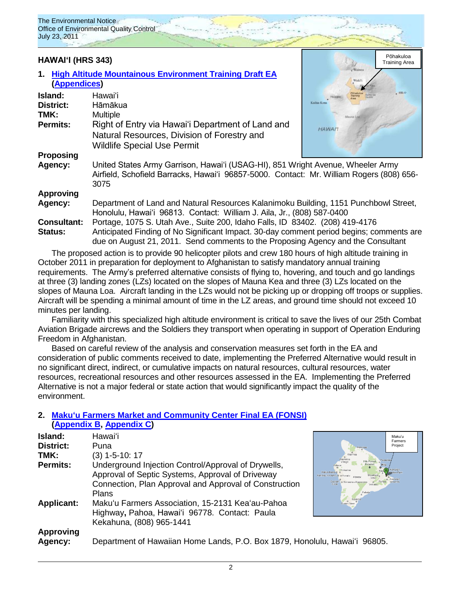

**Consultant:** Portage, 1075 S. Utah Ave., Suite 200, Idaho Falls, ID 83402. (208) 419-4176 **Status:** Anticipated Finding of No Significant Impact. 30-day comment period begins; comments are due on August 21, 2011. Send comments to the Proposing Agency and the Consultant

The proposed action is to provide 90 helicopter pilots and crew 180 hours of high altitude training in October 2011 in preparation for deployment to Afghanistan to satisfy mandatory annual training requirements. The Army"s preferred alternative consists of flying to, hovering, and touch and go landings at three (3) landing zones (LZs) located on the slopes of Mauna Kea and three (3) LZs located on the slopes of Mauna Loa. Aircraft landing in the LZs would not be picking up or dropping off troops or supplies. Aircraft will be spending a minimal amount of time in the LZ areas, and ground time should not exceed 10 minutes per landing.

Familiarity with this specialized high altitude environment is critical to save the lives of our 25th Combat Aviation Brigade aircrews and the Soldiers they transport when operating in support of Operation Enduring Freedom in Afghanistan.

Based on careful review of the analysis and conservation measures set forth in the EA and consideration of public comments received to date, implementing the Preferred Alternative would result in no significant direct, indirect, or cumulative impacts on natural resources, cultural resources, water resources, recreational resources and other resources assessed in the EA. Implementing the Preferred Alternative is not a major federal or state action that would significantly impact the quality of the environment.

> mers iect

## **2. Makuʻu Farmers [Market and Community](http://oeqc.doh.hawaii.gov/Shared%20Documents/EA_and_EIS_Online_Library/Hawaii/2010s/2011-07-23-FEA-Makuu-Farmers-Market-and-Community-Center.pdf) Center Final EA (FONSI) [\(Appendix B,](http://oeqc.doh.hawaii.gov/Shared%20Documents/EA_and_EIS_Online_Library/Hawaii/2010s/2011-07-23-FEA-Makuu-Farmers-Market-Appendix-B.pdf) [Appendix C\)](http://oeqc.doh.hawaii.gov/Shared%20Documents/EA_and_EIS_Online_Library/Hawaii/2010s/2011-07-23-FEA-Makuu-Farmers-Market-Appendix-C.pdf)**

| Island:           | Hawaiʻi                                                                    | Maku'u<br>Farmer                           |
|-------------------|----------------------------------------------------------------------------|--------------------------------------------|
| <b>District:</b>  | Puna                                                                       | Project                                    |
| TMK:              | (3) 1-5-10: 17                                                             | <b>Naikolos</b>                            |
| <b>Permits:</b>   | Underground Injection Control/Approval of Drywells,                        | <b>Hilo Forest</b>                         |
|                   | Approval of Septic Systems, Approval of Driveway                           | Kailua Kona O<br>Kahaluu-Keauhouo o Honalo |
|                   | Connection, Plan Approval and Approval of Construction                     | Captain o Honaunau-Napop                   |
|                   | <b>Plans</b>                                                               |                                            |
| <b>Applicant:</b> | Maku'u Farmers Association, 15-2131 Kea'au-Pahoa                           |                                            |
|                   | Highway, Pahoa, Hawai'i 96778. Contact: Paula                              |                                            |
|                   | Kekahuna, (808) 965-1441                                                   |                                            |
| <b>Approving</b>  |                                                                            |                                            |
| Agency:           | Department of Hawaiian Home Lands, P.O. Box 1879, Honolulu, Hawai'i 96805. |                                            |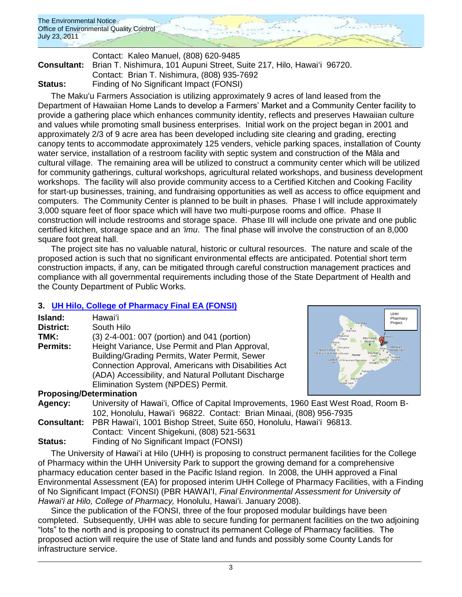

### Contact: Kaleo Manuel, (808) 620-9485 **Consultant:** Brian T. Nishimura, 101 Aupuni Street, Suite 217, Hilo, Hawaiʻi 96720. Contact: Brian T. Nishimura, (808) 935-7692 **Status:** Finding of No Significant Impact (FONSI)

The Makuʻu Farmers Association is utilizing approximately 9 acres of land leased from the Department of Hawaiian Home Lands to develop a Farmers" Market and a Community Center facility to provide a gathering place which enhances community identity, reflects and preserves Hawaiian culture and values while promoting small business enterprises. Initial work on the project began in 2001 and approximately 2/3 of 9 acre area has been developed including site clearing and grading, erecting canopy tents to accommodate approximately 125 venders, vehicle parking spaces, installation of County water service, installation of a restroom facility with septic system and construction of the Māla and cultural village. The remaining area will be utilized to construct a community center which will be utilized for community gatherings, cultural workshops, agricultural related workshops, and business development workshops. The facility will also provide community access to a Certified Kitchen and Cooking Facility for start-up businesses, training, and fundraising opportunities as well as access to office equipment and computers. The Community Center is planned to be built in phases. Phase I will include approximately 3,000 square feet of floor space which will have two multi-purpose rooms and office. Phase II construction will include restrooms and storage space. Phase III will include one private and one public certified kitchen, storage space and an *ʻimu*. The final phase will involve the construction of an 8,000 square foot great hall.

The project site has no valuable natural, historic or cultural resources. The nature and scale of the proposed action is such that no significant environmental effects are anticipated. Potential short term construction impacts, if any, can be mitigated through careful construction management practices and compliance with all governmental requirements including those of the State Department of Health and the County Department of Public Works.

# **3. [UH Hilo, College of Pharmacy Final EA \(FONSI\)](http://oeqc.doh.hawaii.gov/Shared%20Documents/EA_and_EIS_Online_Library/Hawaii/2010s/2011-07-23-FEA-UH-Hilo-College-of-Pharmacy.pdf)**

| Island:         | Hawai'i                                              |
|-----------------|------------------------------------------------------|
| District:       | South Hilo                                           |
| TMK:            | (3) 2-4-001: 007 (portion) and 041 (portion)         |
| <b>Permits:</b> | Height Variance, Use Permit and Plan Approval,       |
|                 | Building/Grading Permits, Water Permit, Sewer        |
|                 | Connection Approval, Americans with Disabilities Act |
|                 | (ADA) Accessibility, and Natural Pollutant Discharge |
|                 | Elimination System (NPDES) Permit.                   |
|                 | $D_{\text{max}}$                                     |



## **Proposing/Determination**

| Agency: | University of Hawai'i, Office of Capital Improvements, 1960 East West Road, Room B- |  |  |  |
|---------|-------------------------------------------------------------------------------------|--|--|--|
|         | 102, Honolulu, Hawai'i 96822. Contact: Brian Minaai, (808) 956-7935                 |  |  |  |
|         | Consultant: PBR Hawai'i, 1001 Bishop Street, Suite 650, Honolulu, Hawai'i 96813.    |  |  |  |
|         | Contact: Vincent Shigekuni, (808) 521-5631                                          |  |  |  |
| Status: | Finding of No Significant Impact (FONSI)                                            |  |  |  |

The University of Hawaiʻi at Hilo (UHH) is proposing to construct permanent facilities for the College of Pharmacy within the UHH University Park to support the growing demand for a comprehensive pharmacy education center based in the Pacific Island region. In 2008, the UHH approved a Final Environmental Assessment (EA) for proposed interim UHH College of Pharmacy Facilities, with a Finding of No Significant Impact (FONSI) (PBR HAWAIʻI, *Final Environmental Assessment for University of Hawaiʻi at Hilo, College of Pharmacy,* Honolulu, Hawaiʻi. January 2008).

Since the publication of the FONSI, three of the four proposed modular buildings have been completed. Subsequently, UHH was able to secure funding for permanent facilities on the two adjoining "lots" to the north and is proposing to construct its permanent College of Pharmacy facilities. The proposed action will require the use of State land and funds and possibly some County Lands for infrastructure service.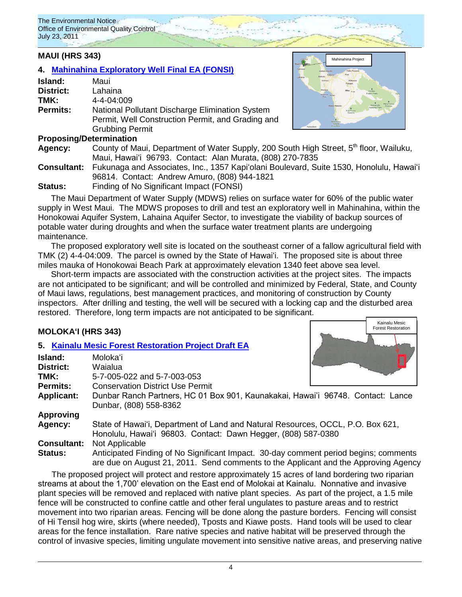### **MAUI (HRS 343)**

# **4. [Mahinahina Exploratory Well](http://oeqc.doh.hawaii.gov/Shared%20Documents/EA_and_EIS_Online_Library/Maui/2010s/2011-07-23-FEA-Mahinahina-Exploratory-Well.pdf) Final EA (FONSI)**

| Island:          | Maui                                                                                                                           |
|------------------|--------------------------------------------------------------------------------------------------------------------------------|
| <b>District:</b> | Lahaina                                                                                                                        |
| TMK:             | $4 - 4 - 04 \cdot 009$                                                                                                         |
| <b>Permits:</b>  | National Pollutant Discharge Elimination System<br>Permit, Well Construction Permit, and Grading and<br><b>Grubbing Permit</b> |

### **Proposing/Determination**



Kainalu Mesic Forest Restoration Project

Mahinahina Project

- Agency: County of Maui, Department of Water Supply, 200 South High Street, 5<sup>th</sup> floor, Wailuku, Maui, Hawaiʻi 96793. Contact: Alan Murata, (808) 270-7835 **Consultant:** Fukunaga and Associates, Inc., 1357 Kapiʻolani Boulevard, Suite 1530, Honolulu, Hawaiʻi
- 96814. Contact: Andrew Amuro, (808) 944-1821
- **Status:** Finding of No Significant Impact (FONSI)

The Maui Department of Water Supply (MDWS) relies on surface water for 60% of the public water supply in West Maui. The MDWS proposes to drill and test an exploratory well in Mahinahina, within the Honokowai Aquifer System, Lahaina Aquifer Sector, to investigate the viability of backup sources of potable water during droughts and when the surface water treatment plants are undergoing maintenance.

The proposed exploratory well site is located on the southeast corner of a fallow agricultural field with TMK (2) 4-4-04:009. The parcel is owned by the State of Hawaiʻi. The proposed site is about three miles mauka of Honokowai Beach Park at approximately elevation 1340 feet above sea level.

Short-term impacts are associated with the construction activities at the project sites. The impacts are not anticipated to be significant; and will be controlled and minimized by Federal, State, and County of Maui laws, regulations, best management practices, and monitoring of construction by County inspectors. After drilling and testing, the well will be secured with a locking cap and the disturbed area restored. Therefore, long term impacts are not anticipated to be significant.

## **MOLOKAʻI (HRS 343)**

## **5. [Kainalu Mesic Forest Restoration Project Draft EA](http://oeqc.doh.hawaii.gov/Shared%20Documents/EA_and_EIS_Online_Library/Molokai/2010s/2011-07-23-DEA-Kainalu-Mesic-Forest-Restoration.pdf)**

| Island:            | Moloka'i                                                                                                                                                                    |
|--------------------|-----------------------------------------------------------------------------------------------------------------------------------------------------------------------------|
| <b>District:</b>   | Waialua                                                                                                                                                                     |
| TMK:               | 5-7-005-022 and 5-7-003-053                                                                                                                                                 |
| <b>Permits:</b>    | <b>Conservation District Use Permit</b>                                                                                                                                     |
| <b>Applicant:</b>  | Dunbar Ranch Partners, HC 01 Box 901, Kaunakakai, Hawai'i 96748. Contact: Lance<br>Dunbar, (808) 558-8362                                                                   |
| <b>Approving</b>   |                                                                                                                                                                             |
| Agency:            | State of Hawai'i, Department of Land and Natural Resources, OCCL, P.O. Box 621,<br>Honolulu, Hawai'i 96803. Contact: Dawn Hegger, (808) 587-0380                            |
| <b>Consultant:</b> | Not Applicable                                                                                                                                                              |
| <b>Status:</b>     | Anticipated Finding of No Significant Impact. 30-day comment period begins; comments<br>are due on August 21, 2011. Send comments to the Applicant and the Approving Agency |

The proposed project will protect and restore approximately 15 acres of land bordering two riparian streams at about the 1,700" elevation on the East end of Molokai at Kainalu. Nonnative and invasive plant species will be removed and replaced with native plant species. As part of the project, a 1.5 mile fence will be constructed to confine cattle and other feral ungulates to pasture areas and to restrict movement into two riparian areas. Fencing will be done along the pasture borders. Fencing will consist of Hi Tensil hog wire, skirts (where needed), Tposts and Kiawe posts. Hand tools will be used to clear areas for the fence installation. Rare native species and native habitat will be preserved through the control of invasive species, limiting ungulate movement into sensitive native areas, and preserving native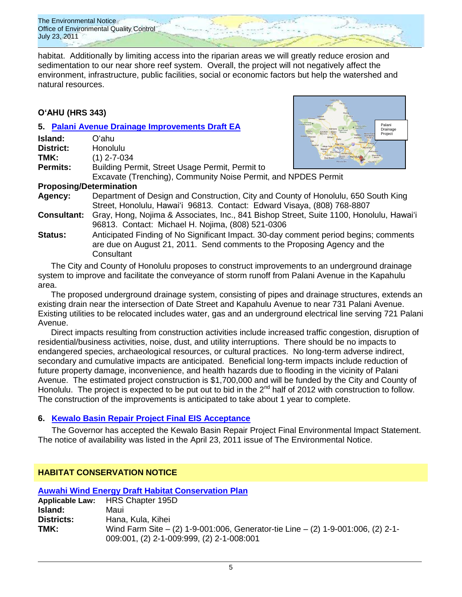The Environmental Notice Office of Environmental Quality Control July 23, 2011

habitat. Additionally by limiting access into the riparian areas we will greatly reduce erosion and sedimentation to our near shore reef system. Overall, the project will not negatively affect the environment, infrastructure, public facilities, social or economic factors but help the watershed and natural resources.

# **OʻAHU (HRS 343)**

### **5. [Palani Avenue Drainage Improvements](http://oeqc.doh.hawaii.gov/Shared%20Documents/EA_and_EIS_Online_Library/Oahu/2010s/2011-07-23-DEA-Palani-Avenue-Drainage-Improvements.pdf) Draft EA**

| Island:                        | Oʻahu                                                                      |  |
|--------------------------------|----------------------------------------------------------------------------|--|
| <b>District:</b>               | Honolulu                                                                   |  |
| TMK:                           | $(1)$ 2-7-034                                                              |  |
| <b>Permits:</b>                | Building Permit, Street Usage Permit, Permit to                            |  |
|                                | Excavate (Trenching), Community Noise Permit, and NPDES Permit             |  |
| <b>Proposing/Determination</b> |                                                                            |  |
| Agency:                        | Department of Design and Construction, City and County of Honolulu, 650 S  |  |
|                                | Street, Honolulu, Hawai'i 96813. Contact: Edward Visaya, (808) 768-8807    |  |
| <b>Consultant:</b>             | Gray, Hong, Nojima & Associates, Inc., 841 Bishop Street, Suite 1100, Hong |  |

nolulu, Hawaiʻi 96813. Contact: Michael H. Nojima, (808) 521-0306

Palani Drainage Project

**South King** 

**Status:** Anticipated Finding of No Significant Impact. 30-day comment period begins; comments are due on August 21, 2011. Send comments to the Proposing Agency and the **Consultant** 

The City and County of Honolulu proposes to construct improvements to an underground drainage system to improve and facilitate the conveyance of storm runoff from Palani Avenue in the Kapahulu area.

The proposed underground drainage system, consisting of pipes and drainage structures, extends an existing drain near the intersection of Date Street and Kapahulu Avenue to near 731 Palani Avenue. Existing utilities to be relocated includes water, gas and an underground electrical line serving 721 Palani Avenue.

Direct impacts resulting from construction activities include increased traffic congestion, disruption of residential/business activities, noise, dust, and utility interruptions. There should be no impacts to endangered species, archaeological resources, or cultural practices. No long-term adverse indirect, secondary and cumulative impacts are anticipated. Beneficial long-term impacts include reduction of future property damage, inconvenience, and health hazards due to flooding in the vicinity of Palani Avenue. The estimated project construction is \$1,700,000 and will be funded by the City and County of Honolulu. The project is expected to be put out to bid in the 2<sup>nd</sup> half of 2012 with construction to follow. The construction of the improvements is anticipated to take about 1 year to complete.

## **6. [Kewalo Basin Repair Project Final EIS Acceptance](http://oeqc.doh.hawaii.gov/Shared%20Documents/EA_and_EIS_Online_Library/Oahu/2010s/2011-06-13-FEIS-Acceptance-Kewalo-Basin-Repair-Project.pdf)**

The Governor has accepted the Kewalo Basin Repair Project Final Environmental Impact Statement. The notice of availability was listed in the April 23, 2011 issue of The Environmental Notice.

# **HABITAT CONSERVATION NOTICE**

| <b>Auwahi Wind Energy Draft Habitat Conservation Plan</b> |                                                                                                                               |  |  |  |
|-----------------------------------------------------------|-------------------------------------------------------------------------------------------------------------------------------|--|--|--|
|                                                           | Applicable Law: HRS Chapter 195D                                                                                              |  |  |  |
| Island:                                                   | Maui                                                                                                                          |  |  |  |
| <b>Districts:</b>                                         | Hana, Kula, Kihei                                                                                                             |  |  |  |
| TMK:                                                      | Wind Farm Site - (2) 1-9-001:006, Generator-tie Line - (2) 1-9-001:006, (2) 2-1-<br>009:001, (2) 2-1-009:999, (2) 2-1-008:001 |  |  |  |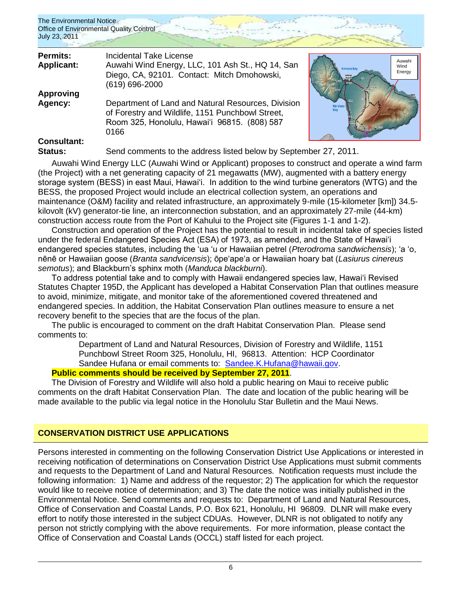

Auwahi Wind Energy

| <b>Permits:</b><br><b>Applicant:</b> | <b>Incidental Take License</b><br>Auwahi Wind Energy, LLC, 101 Ash St., HQ 14, San<br>Diego, CA, 92101. Contact: Mitch Dmohowski,<br>(619) 696-2000            |  |
|--------------------------------------|----------------------------------------------------------------------------------------------------------------------------------------------------------------|--|
| <b>Approving</b>                     |                                                                                                                                                                |  |
| Agency:                              | Department of Land and Natural Resources, Division<br>of Forestry and Wildlife, 1151 Punchbowl Street,<br>Room 325, Honolulu, Hawai'i 96815. (808) 587<br>0166 |  |
| <b>Consultant:</b>                   |                                                                                                                                                                |  |

# **Consultant:**

**Status:** Send comments to the address listed below by September 27, 2011.

Auwahi Wind Energy LLC (Auwahi Wind or Applicant) proposes to construct and operate a wind farm (the Project) with a net generating capacity of 21 megawatts (MW), augmented with a battery energy storage system (BESS) in east Maui, Hawai'i. In addition to the wind turbine generators (WTG) and the BESS, the proposed Project would include an electrical collection system, an operations and maintenance (O&M) facility and related infrastructure, an approximately 9-mile (15-kilometer [km]) 34.5 kilovolt (kV) generator-tie line, an interconnection substation, and an approximately 27-mile (44-km) construction access route from the Port of Kahului to the Project site (Figures 1-1 and 1-2).

Construction and operation of the Project has the potential to result in incidental take of species listed under the federal Endangered Species Act (ESA) of 1973, as amended, and the State of Hawai"i endangered species statutes, including the "ua "u or Hawaiian petrel (*Pterodroma sandwichensis*); "a "o, nēnē or Hawaiian goose (*Branta sandvicensis*); ōpe"ape"a or Hawaiian hoary bat (*Lasiurus cinereus semotus*); and Blackburn"s sphinx moth (*Manduca blackburni*).

To address potential take and to comply with Hawaii endangered species law, Hawaiʻi Revised Statutes Chapter 195D, the Applicant has developed a Habitat Conservation Plan that outlines measure to avoid, minimize, mitigate, and monitor take of the aforementioned covered threatened and endangered species. In addition, the Habitat Conservation Plan outlines measure to ensure a net recovery benefit to the species that are the focus of the plan.

The public is encouraged to comment on the draft Habitat Conservation Plan. Please send comments to:

Department of Land and Natural Resources, Division of Forestry and Wildlife, 1151 Punchbowl Street Room 325, Honolulu, HI, 96813. Attention: HCP Coordinator Sandee Hufana or email comments to: [Sandee.K.Hufana@hawaii.gov.](mailto:Sandee.K.Hufana@hawaii.gov)

# **Public comments should be received by September 27, 2011**.

The Division of Forestry and Wildlife will also hold a public hearing on Maui to receive public comments on the draft Habitat Conservation Plan. The date and location of the public hearing will be made available to the public via legal notice in the Honolulu Star Bulletin and the Maui News.

# **CONSERVATION DISTRICT USE APPLICATIONS**

Persons interested in commenting on the following Conservation District Use Applications or interested in receiving notification of determinations on Conservation District Use Applications must submit comments and requests to the Department of Land and Natural Resources. Notification requests must include the following information: 1) Name and address of the requestor; 2) The application for which the requestor would like to receive notice of determination; and 3) The date the notice was initially published in the Environmental Notice. Send comments and requests to: Department of Land and Natural Resources, Office of Conservation and Coastal Lands, P.O. Box 621, Honolulu, HI 96809. DLNR will make every effort to notify those interested in the subject CDUAs. However, DLNR is not obligated to notify any person not strictly complying with the above requirements. For more information, please contact the Office of Conservation and Coastal Lands (OCCL) staff listed for each project.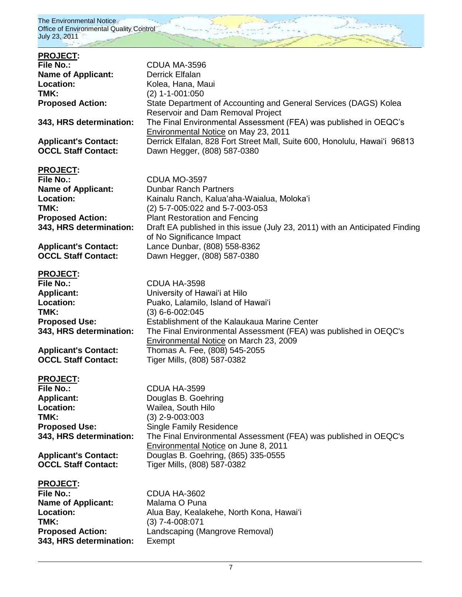

| <b>PROJECT:</b>             |                                                                              |
|-----------------------------|------------------------------------------------------------------------------|
| <b>File No.:</b>            | CDUA MA-3596                                                                 |
| <b>Name of Applicant:</b>   | Derrick Elfalan                                                              |
| Location:                   | Kolea, Hana, Maui                                                            |
| TMK:                        | $(2)$ 1-1-001:050                                                            |
| <b>Proposed Action:</b>     | State Department of Accounting and General Services (DAGS) Kolea             |
|                             |                                                                              |
|                             | Reservoir and Dam Removal Project                                            |
| 343, HRS determination:     | The Final Environmental Assessment (FEA) was published in OEQC's             |
|                             | Environmental Notice on May 23, 2011                                         |
| <b>Applicant's Contact:</b> | Derrick Elfalan, 828 Fort Street Mall, Suite 600, Honolulu, Hawai'i 96813    |
| <b>OCCL Staff Contact:</b>  | Dawn Hegger, (808) 587-0380                                                  |
|                             |                                                                              |
| <b>PROJECT:</b>             |                                                                              |
| <b>File No.:</b>            | CDUA MO-3597                                                                 |
|                             |                                                                              |
| <b>Name of Applicant:</b>   | <b>Dunbar Ranch Partners</b>                                                 |
| Location:                   | Kainalu Ranch, Kalua'aha-Waialua, Moloka'i                                   |
| TMK:                        | (2) 5-7-005:022 and 5-7-003-053                                              |
| <b>Proposed Action:</b>     | <b>Plant Restoration and Fencing</b>                                         |
| 343, HRS determination:     | Draft EA published in this issue (July 23, 2011) with an Anticipated Finding |
|                             | of No Significance Impact                                                    |
| <b>Applicant's Contact:</b> | Lance Dunbar, (808) 558-8362                                                 |
| <b>OCCL Staff Contact:</b>  | Dawn Hegger, (808) 587-0380                                                  |
|                             |                                                                              |
|                             |                                                                              |
| <b>PROJECT:</b>             |                                                                              |
| <b>File No.:</b>            | CDUA HA-3598                                                                 |
| <b>Applicant:</b>           | University of Hawai'i at Hilo                                                |
| Location:                   | Puako, Lalamilo, Island of Hawai'i                                           |
| TMK:                        | $(3)$ 6-6-002:045                                                            |
| <b>Proposed Use:</b>        | Establishment of the Kalaukaua Marine Center                                 |
| 343, HRS determination:     | The Final Environmental Assessment (FEA) was published in OEQC's             |
|                             | Environmental Notice on March 23, 2009                                       |
|                             |                                                                              |
| <b>Applicant's Contact:</b> | Thomas A. Fee, (808) 545-2055                                                |
| <b>OCCL Staff Contact:</b>  | Tiger Mills, (808) 587-0382                                                  |
|                             |                                                                              |
| <b>PROJECT:</b>             |                                                                              |
| <b>File No.:</b>            | <b>CDUA HA-3599</b>                                                          |
| <b>Applicant:</b>           | Douglas B. Goehring                                                          |
| Location:                   | Wailea, South Hilo                                                           |
| TMK:                        | $(3)$ 2-9-003:003                                                            |
| <b>Proposed Use:</b>        | <b>Single Family Residence</b>                                               |
|                             |                                                                              |
| 343, HRS determination:     | The Final Environmental Assessment (FEA) was published in OEQC's             |
|                             | Environmental Notice on June 8, 2011                                         |
| <b>Applicant's Contact:</b> | Douglas B. Goehring, (865) 335-0555                                          |
| <b>OCCL Staff Contact:</b>  | Tiger Mills, (808) 587-0382                                                  |
|                             |                                                                              |
| <b>PROJECT:</b>             |                                                                              |
| <b>File No.:</b>            | CDUA HA-3602                                                                 |
| <b>Name of Applicant:</b>   | Malama O Puna                                                                |
| Location:                   |                                                                              |
|                             | Alua Bay, Kealakehe, North Kona, Hawai'i                                     |
| TMK:                        | $(3)$ 7-4-008:071                                                            |
| <b>Proposed Action:</b>     | Landscaping (Mangrove Removal)                                               |
| 343, HRS determination:     | Exempt                                                                       |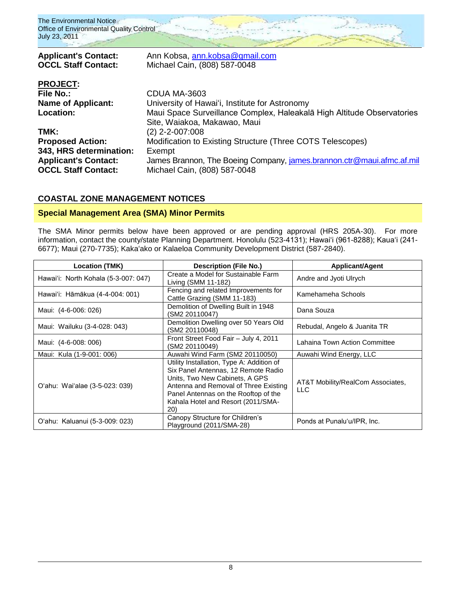

# **COASTAL ZONE MANAGEMENT NOTICES**

### **Special Management Area (SMA) Minor Permits**

The SMA Minor permits below have been approved or are pending approval (HRS 205A-30). For more information, contact the county/state Planning Department. Honolulu (523-4131); Hawaiʻi (961-8288); Kauaʻi (241-6677); Maui (270-7735); Kakaʻako or Kalaeloa Community Development District (587-2840).

| <b>Location (TMK)</b>                | <b>Description (File No.)</b>                                                                                                                                                                                                                     | <b>Applicant/Agent</b>                          |  |
|--------------------------------------|---------------------------------------------------------------------------------------------------------------------------------------------------------------------------------------------------------------------------------------------------|-------------------------------------------------|--|
| Hawai'i: North Kohala (5-3-007: 047) | Create a Model for Sustainable Farm<br>Living (SMM 11-182)                                                                                                                                                                                        | Andre and Jyoti Ulrych                          |  |
| Hawai'i: Hāmākua (4-4-004: 001)      | Fencing and related Improvements for<br>Cattle Grazing (SMM 11-183)                                                                                                                                                                               | Kamehameha Schools                              |  |
| Maui: (4-6-006: 026)                 | Demolition of Dwelling Built in 1948<br>(SM2 20110047)                                                                                                                                                                                            | Dana Souza                                      |  |
| Maui: Wailuku (3-4-028: 043)         | Demolition Dwelling over 50 Years Old<br>(SM2 20110048)                                                                                                                                                                                           | Rebudal, Angelo & Juanita TR                    |  |
| Maui: (4-6-008: 006)                 | Front Street Food Fair - July 4, 2011<br>(SM2 20110049)                                                                                                                                                                                           | Lahaina Town Action Committee                   |  |
| Maui: Kula (1-9-001: 006)            | Auwahi Wind Farm (SM2 20110050)                                                                                                                                                                                                                   | Auwahi Wind Energy, LLC                         |  |
| O'ahu: Wai'alae (3-5-023: 039)       | Utility Installation, Type A: Addition of<br>Six Panel Antennas, 12 Remote Radio<br>Units, Two New Cabinets, A GPS<br>Antenna and Removal of Three Existing<br>Panel Antennas on the Rooftop of the<br>Kahala Hotel and Resort (2011/SMA-<br>(20) | AT&T Mobility/RealCom Associates,<br><b>LLC</b> |  |
| O'ahu: Kaluanui (5-3-009: 023)       | Canopy Structure for Children's<br>Playground (2011/SMA-28)                                                                                                                                                                                       | Ponds at Punalu'u/IPR, Inc.                     |  |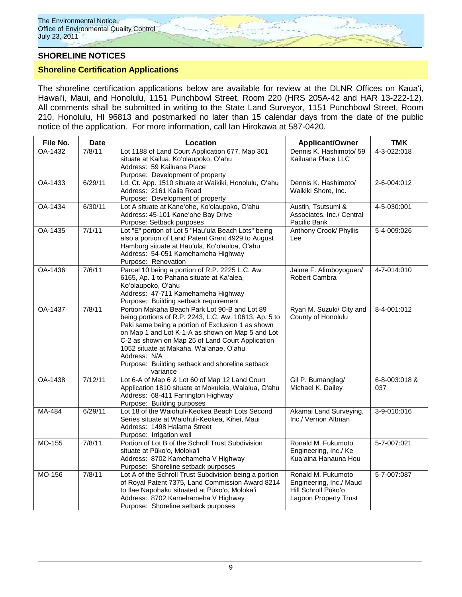### **SHORELINE NOTICES**

### **Shoreline Certification Applications**

The shoreline certification applications below are available for review at the DLNR Offices on Kauaʻi, Hawaiʻi, Maui, and Honolulu, 1151 Punchbowl Street, Room 220 (HRS 205A-42 and HAR 13-222-12). All comments shall be submitted in writing to the State Land Surveyor, 1151 Punchbowl Street, Room 210, Honolulu, HI 96813 and postmarked no later than 15 calendar days from the date of the public notice of the application. For more information, call Ian Hirokawa at 587-0420.

| File No. | <b>Date</b> | Location                                                                                                                                                                                                                                                                                                                                                                                      | <b>Applicant/Owner</b>                                                                        | <b>TMK</b>           |
|----------|-------------|-----------------------------------------------------------------------------------------------------------------------------------------------------------------------------------------------------------------------------------------------------------------------------------------------------------------------------------------------------------------------------------------------|-----------------------------------------------------------------------------------------------|----------------------|
| OA-1432  | 7/8/11      | Lot 1188 of Land Court Application 677, Map 301<br>situate at Kailua, Ko'olaupoko, O'ahu<br>Address: 59 Kailuana Place<br>Purpose: Development of property                                                                                                                                                                                                                                    | Dennis K. Hashimoto/ 59<br>Kailuana Place LLC                                                 | 4-3-022:018          |
| OA-1433  | 6/29/11     | Ld. Ct. App. 1510 situate at Waikiki, Honolulu, O'ahu<br>Address: 2161 Kalia Road<br>Purpose: Development of property                                                                                                                                                                                                                                                                         | Dennis K. Hashimoto/<br>Waikiki Shore, Inc.                                                   | 2-6-004:012          |
| OA-1434  | 6/30/11     | Lot A situate at Kane'ohe, Ko'olaupoko, O'ahu<br>Address: 45-101 Kane'ohe Bay Drive<br>Purpose: Setback purposes                                                                                                                                                                                                                                                                              | Austin, Tsutsumi &<br>Associates, Inc./ Central<br>Pacific Bank                               | 4-5-030:001          |
| OA-1435  | 7/1/11      | Lot "E" portion of Lot 5 "Hau'ula Beach Lots" being<br>also a portion of Land Patent Grant 4929 to August<br>Hamburg situate at Hau'ula, Ko'olauloa, O'ahu<br>Address: 54-051 Kamehameha Highway<br>Purpose: Renovation                                                                                                                                                                       | Anthony Crook/ Phyllis<br>Lee                                                                 | 5-4-009:026          |
| OA-1436  | 7/6/11      | Parcel 10 being a portion of R.P. 2225 L.C. Aw.<br>6165, Ap. 1 to Pahana situate at Ka'alea,<br>Ko'olaupoko, O'ahu<br>Address: 47-711 Kamehameha Highway<br>Purpose: Building setback requirement                                                                                                                                                                                             | Jaime F. Alimboyoguen/<br>Robert Cambra                                                       | 4-7-014:010          |
| OA-1437  | 7/8/11      | Portion Makaha Beach Park Lot 90-B and Lot 89<br>being portions of R.P. 2243, L.C. Aw. 10613, Ap. 5 to<br>Paki same being a portion of Exclusion 1 as shown<br>on Map 1 and Lot K-1-A as shown on Map 5 and Lot<br>C-2 as shown on Map 25 of Land Court Application<br>1052 situate at Makaha, Wai'anae, O'ahu<br>Address: N/A<br>Purpose: Building setback and shoreline setback<br>variance | Ryan M. Suzuki/ City and<br>County of Honolulu                                                | 8-4-001:012          |
| OA-1438  | 7/12/11     | Lot 6-A of Map 6 & Lot 60 of Map 12 Land Court<br>Application 1810 situate at Mokuleia, Waialua, O'ahu<br>Address: 68-411 Farrington Highway<br>Purpose: Building purposes                                                                                                                                                                                                                    | Gil P. Bumanglag/<br>Michael K. Dailey                                                        | 6-8-003:018 &<br>037 |
| MA-484   | 6/29/11     | Lot 18 of the Waiohuli-Keokea Beach Lots Second<br>Series situate at Waiohuli-Keokea, Kihei, Maui<br>Address: 1498 Halama Street<br>Purpose: Irrigation well                                                                                                                                                                                                                                  | Akamai Land Surveying,<br>Inc./ Vernon Altman                                                 | 3-9-010:016          |
| MO-155   | 7/8/11      | Portion of Lot B of the Schroll Trust Subdivision<br>situate at Pūko'o, Moloka'i<br>Address: 8702 Kamehameha V Highway<br>Purpose: Shoreline setback purposes                                                                                                                                                                                                                                 | Ronald M. Fukumoto<br>Engineering, Inc./ Ke<br>Kua'aina Hanauna Hou                           | 5-7-007:021          |
| MO-156   | 7/8/11      | Lot A of the Schroll Trust Subdivision being a portion<br>of Royal Patent 7375, Land Commission Award 8214<br>to Ilae Napohaku situated at Pūko'o, Moloka'i<br>Address: 8702 Kamehameha V Highway<br>Purpose: Shoreline setback purposes                                                                                                                                                      | Ronald M. Fukumoto<br>Engineering, Inc./ Maud<br>Hill Schroll Pūkoʻo<br>Lagoon Property Trust | 5-7-007:087          |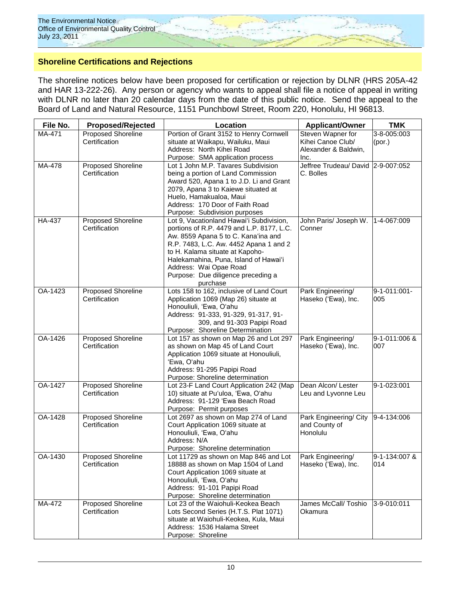

# **Shoreline Certifications and Rejections**

The shoreline notices below have been proposed for certification or rejection by DLNR (HRS 205A-42 and HAR 13-222-26). Any person or agency who wants to appeal shall file a notice of appeal in writing with DLNR no later than 20 calendar days from the date of this public notice. Send the appeal to the Board of Land and Natural Resource, 1151 Punchbowl Street, Room 220, Honolulu, HI 96813.

| File No. | <b>Proposed/Rejected</b>                   | Location                                                                                                                                                                                                                                                                                                                       | <b>Applicant/Owner</b>                                                 | <b>TMK</b>            |
|----------|--------------------------------------------|--------------------------------------------------------------------------------------------------------------------------------------------------------------------------------------------------------------------------------------------------------------------------------------------------------------------------------|------------------------------------------------------------------------|-----------------------|
| MA-471   | Proposed Shoreline<br>Certification        | Portion of Grant 3152 to Henry Cornwell<br>situate at Waikapu, Wailuku, Maui<br>Address: North Kihei Road<br>Purpose: SMA application process                                                                                                                                                                                  | Steven Wapner for<br>Kihei Canoe Club/<br>Alexander & Baldwin,<br>Inc. | 3-8-005:003<br>(por.) |
| MA-478   | <b>Proposed Shoreline</b><br>Certification | Lot 1 John M.P. Tavares Subdivision<br>being a portion of Land Commission<br>Award 520, Apana 1 to J.D. Li and Grant<br>2079, Apana 3 to Kaiewe situated at<br>Huelo, Hamakualoa, Maui<br>Address: 170 Door of Faith Road<br>Purpose: Subdivision purposes                                                                     | Jeffree Trudeau/ David 2-9-007:052<br>C. Bolles                        |                       |
| HA-437   | Proposed Shoreline<br>Certification        | Lot 9, Vacationland Hawai'i Subdivision,<br>portions of R.P. 4479 and L.P. 8177, L.C.<br>Aw. 8559 Apana 5 to C. Kana'ina and<br>R.P. 7483, L.C. Aw. 4452 Apana 1 and 2<br>to H. Kalama situate at Kapoho-<br>Halekamahina, Puna, Island of Hawai'i<br>Address: Wai Opae Road<br>Purpose: Due diligence preceding a<br>purchase | John Paris/ Joseph W.<br>Conner                                        | 1-4-067:009           |
| OA-1423  | Proposed Shoreline<br>Certification        | Lots 158 to 162, inclusive of Land Court<br>Application 1069 (Map 26) situate at<br>Honouliuli, 'Ewa, O'ahu<br>Address: 91-333, 91-329, 91-317, 91-<br>309, and 91-303 Papipi Road<br>Purpose: Shoreline Determination                                                                                                         | Park Engineering/<br>Haseko ('Ewa), Inc.                               | 9-1-011:001-<br>005   |
| OA-1426  | Proposed Shoreline<br>Certification        | Lot 157 as shown on Map 26 and Lot 297<br>as shown on Map 45 of Land Court<br>Application 1069 situate at Honouliuli,<br>'Ewa, O'ahu<br>Address: 91-295 Papipi Road<br>Purpose: Shoreline determination                                                                                                                        | Park Engineering/<br>Haseko ('Ewa), Inc.                               | 9-1-011:006 &<br>007  |
| OA-1427  | Proposed Shoreline<br>Certification        | Lot 23-F Land Court Application 242 (Map<br>10) situate at Pu'uloa, 'Ewa, O'ahu<br>Address: 91-129 'Ewa Beach Road<br>Purpose: Permit purposes                                                                                                                                                                                 | Dean Alcon/ Lester<br>Leu and Lyvonne Leu                              | 9-1-023:001           |
| OA-1428  | <b>Proposed Shoreline</b><br>Certification | Lot 2697 as shown on Map 274 of Land<br>Court Application 1069 situate at<br>Honouliuli, 'Ewa, O'ahu<br>Address: N/A<br>Purpose: Shoreline determination                                                                                                                                                                       | Park Engineering/ City<br>and County of<br>Honolulu                    | 9-4-134:006           |
| OA-1430  | Proposed Shoreline<br>Certification        | Lot 11729 as shown on Map 846 and Lot<br>18888 as shown on Map 1504 of Land<br>Court Application 1069 situate at<br>Honouliuli, 'Ewa, O'ahu<br>Address: 91-101 Papipi Road<br>Purpose: Shoreline determination                                                                                                                 | Park Engineering/<br>Haseko ('Ewa), Inc.                               | 9-1-134:007 &<br>014  |
| MA-472   | Proposed Shoreline<br>Certification        | Lot 23 of the Waiohuli-Keokea Beach<br>Lots Second Series (H.T.S. Plat 1071)<br>situate at Waiohuli-Keokea, Kula, Maui<br>Address: 1536 Halama Street<br>Purpose: Shoreline                                                                                                                                                    | James McCall/ Toshio<br>Okamura                                        | 3-9-010:011           |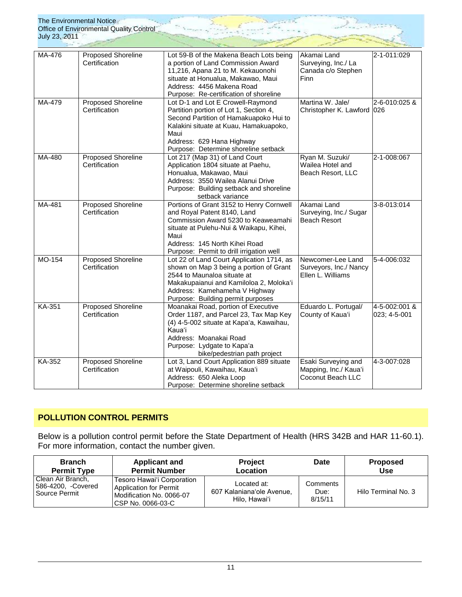| July 23, 2011 | The Environmental Notice<br>Office of Environmental Quality Control |                                                                                                                                                                                                                                                |                                                                   |                               |
|---------------|---------------------------------------------------------------------|------------------------------------------------------------------------------------------------------------------------------------------------------------------------------------------------------------------------------------------------|-------------------------------------------------------------------|-------------------------------|
| MA-476        | <b>Proposed Shoreline</b><br>Certification                          | Lot 59-B of the Makena Beach Lots being<br>a portion of Land Commission Award<br>11,216, Apana 21 to M. Kekauonohi<br>situate at Honualua, Makawao, Maui<br>Address: 4456 Makena Road<br>Purpose: Re-certification of shoreline                | Akamai Land<br>Surveying, Inc./ La<br>Canada c/o Stephen<br>Finn  | 2-1-011:029                   |
| MA-479        | <b>Proposed Shoreline</b><br>Certification                          | Lot D-1 and Lot E Crowell-Raymond<br>Partition portion of Lot 1, Section 4,<br>Second Partition of Hamakuapoko Hui to<br>Kalakini situate at Kuau, Hamakuapoko,<br>Maui<br>Address: 629 Hana Highway<br>Purpose: Determine shoreline setback   | Martina W. Jale/<br>Christopher K. Lawford 026                    | 2-6-010:025 &                 |
| MA-480        | <b>Proposed Shoreline</b><br>Certification                          | Lot 217 (Map 31) of Land Court<br>Application 1804 situate at Paehu,<br>Honualua, Makawao, Maui<br>Address: 3550 Wailea Alanui Drive<br>Purpose: Building setback and shoreline<br>setback variance                                            | Ryan M. Suzuki/<br>Wailea Hotel and<br>Beach Resort, LLC          | 2-1-008:067                   |
| $MA-481$      | <b>Proposed Shoreline</b><br>Certification                          | Portions of Grant 3152 to Henry Cornwell<br>and Royal Patent 8140, Land<br>Commission Award 5230 to Keaweamahi<br>situate at Pulehu-Nui & Waikapu, Kihei,<br>Maui<br>Address: 145 North Kihei Road<br>Purpose: Permit to drill irrigation well | Akamai Land<br>Surveying, Inc./ Sugar<br><b>Beach Resort</b>      | 3-8-013:014                   |
| MO-154        | Proposed Shoreline<br>Certification                                 | Lot 22 of Land Court Application 1714, as<br>shown on Map 3 being a portion of Grant<br>2544 to Maunaloa situate at<br>Makakupaianui and Kamiloloa 2, Moloka'i<br>Address: Kamehameha V Highway<br>Purpose: Building permit purposes           | Newcomer-Lee Land<br>Surveyors, Inc./ Nancy<br>Ellen L. Williams  | 5-4-006:032                   |
| KA-351        | <b>Proposed Shoreline</b><br>Certification                          | Moanakai Road, portion of Executive<br>Order 1187, and Parcel 23, Tax Map Key<br>(4) 4-5-002 situate at Kapa'a, Kawaihau,<br>Kaua'i<br>Address: Moanakai Road<br>Purpose: Lydgate to Kapa'a<br>bike/pedestrian path project                    | Eduardo L. Portugal/<br>County of Kaua'i                          | 4-5-002:001 &<br>023; 4-5-001 |
| KA-352        | <b>Proposed Shoreline</b><br>Certification                          | Lot 3, Land Court Application 889 situate<br>at Waipouli, Kawaihau, Kaua'i<br>Address: 650 Aleka Loop<br>Purpose: Determine shoreline setback                                                                                                  | Esaki Surveying and<br>Mapping, Inc./ Kaua'i<br>Coconut Beach LLC | 4-3-007:028                   |

# **POLLUTION CONTROL PERMITS**

Below is a pollution control permit before the State Department of Health (HRS 342B and HAR 11-60.1). For more information, contact the number given.

| <b>Branch</b>                                            | <b>Applicant and</b>                                                                                          | <b>Project</b>                                            | Date                        | <b>Proposed</b>     |
|----------------------------------------------------------|---------------------------------------------------------------------------------------------------------------|-----------------------------------------------------------|-----------------------------|---------------------|
| <b>Permit Type</b>                                       | <b>Permit Number</b>                                                                                          | Location                                                  |                             | <b>Use</b>          |
| Clean Air Branch,<br>586-4200, -Covered<br>Source Permit | Tesoro Hawai'i Corporation<br><b>Application for Permit</b><br>Modification No. 0066-07<br>ICSP No. 0066-03-C | Located at:<br>607 Kalaniana'ole Avenue,<br>Hilo, Hawai'i | Comments<br>Due:<br>8/15/11 | Hilo Terminal No. 3 |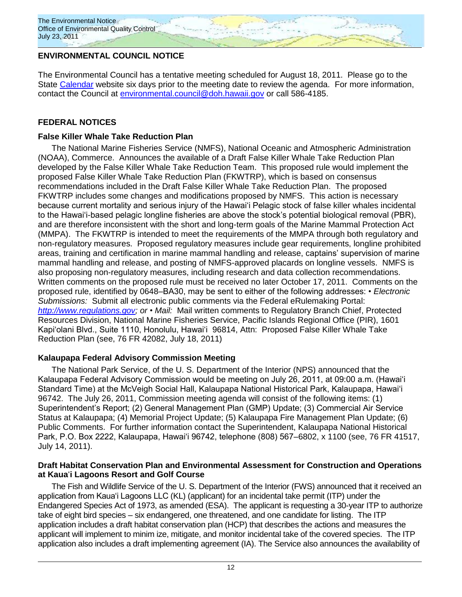

# **ENVIRONMENTAL COUNCIL NOTICE**

The Environmental Council has a tentative meeting scheduled for August 18, 2011. Please go to the State [Calendar](http://calendar.ehawaii.gov/calendar/html/event) website six days prior to the meeting date to review the agenda. For more information, contact the Council at [environmental.council@doh.hawaii.gov](mailto:environmental.council@doh.hawaii.gov) or call 586-4185.

# **FEDERAL NOTICES**

# **False Killer Whale Take Reduction Plan**

The National Marine Fisheries Service (NMFS), National Oceanic and Atmospheric Administration (NOAA), Commerce. Announces the available of a Draft False Killer Whale Take Reduction Plan developed by the False Killer Whale Take Reduction Team. This proposed rule would implement the proposed False Killer Whale Take Reduction Plan (FKWTRP), which is based on consensus recommendations included in the Draft False Killer Whale Take Reduction Plan. The proposed FKWTRP includes some changes and modifications proposed by NMFS. This action is necessary because current mortality and serious injury of the Hawai"i Pelagic stock of false killer whales incidental to the Hawai"i-based pelagic longline fisheries are above the stock"s potential biological removal (PBR), and are therefore inconsistent with the short and long-term goals of the Marine Mammal Protection Act (MMPA). The FKWTRP is intended to meet the requirements of the MMPA through both regulatory and non-regulatory measures. Proposed regulatory measures include gear requirements, longline prohibited areas, training and certification in marine mammal handling and release, captains" supervision of marine mammal handling and release, and posting of NMFS-approved placards on longline vessels. NMFS is also proposing non-regulatory measures, including research and data collection recommendations. Written comments on the proposed rule must be received no later October 17, 2011. Comments on the proposed rule, identified by 0648–BA30, may be sent to either of the following addresses: • *Electronic Submissions:* Submit all electronic public comments via the Federal eRulemaking Portal: *[http://www.regulations.gov;](http://www.regulations.gov/) or* • *Mail:* Mail written comments to Regulatory Branch Chief, Protected Resources Division, National Marine Fisheries Service, Pacific Islands Regional Office (PIR), 1601 Kapi'olani Blvd., Suite 1110, Honolulu, Hawai'i 96814, Attn: Proposed False Killer Whale Take Reduction Plan (see, 76 FR 42082, July 18, 2011)

# **Kalaupapa Federal Advisory Commission Meeting**

The National Park Service, of the U. S. Department of the Interior (NPS) announced that the Kalaupapa Federal Advisory Commission would be meeting on July 26, 2011, at 09:00 a.m. (Hawai"i Standard Time) at the McVeigh Social Hall, Kalaupapa National Historical Park, Kalaupapa, Hawai"i 96742. The July 26, 2011, Commission meeting agenda will consist of the following items: (1) Superintendent"s Report; (2) General Management Plan (GMP) Update; (3) Commercial Air Service Status at Kalaupapa; (4) Memorial Project Update; (5) Kalaupapa Fire Management Plan Update; (6) Public Comments. For further information contact the Superintendent, Kalaupapa National Historical Park, P.O. Box 2222, Kalaupapa, Hawai'i 96742, telephone (808) 567–6802, x 1100 (see, 76 FR 41517, July 14, 2011).

# **Draft Habitat Conservation Plan and Environmental Assessment for Construction and Operations at Kaua**"**i Lagoons Resort and Golf Course**

The Fish and Wildlife Service of the U. S. Department of the Interior (FWS) announced that it received an application from Kaua"i Lagoons LLC (KL) (applicant) for an incidental take permit (ITP) under the Endangered Species Act of 1973, as amended (ESA). The applicant is requesting a 30-year ITP to authorize take of eight bird species – six endangered, one threatened, and one candidate for listing. The ITP application includes a draft habitat conservation plan (HCP) that describes the actions and measures the applicant will implement to minim ize, mitigate, and monitor incidental take of the covered species. The ITP application also includes a draft implementing agreement (IA). The Service also announces the availability of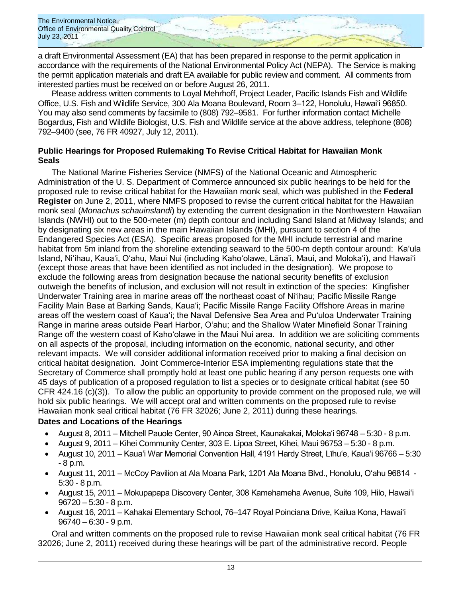The Environmental Notice Office of Environmental Quality Control July 23, 2011

a draft Environmental Assessment (EA) that has been prepared in response to the permit application in accordance with the requirements of the National Environmental Policy Act (NEPA). The Service is making the permit application materials and draft EA available for public review and comment. All comments from interested parties must be received on or before August 26, 2011.

Please address written comments to Loyal Mehrhoff, Project Leader, Pacific Islands Fish and Wildlife Office, U.S. Fish and Wildlife Service, 300 Ala Moana Boulevard, Room 3–122, Honolulu, Hawai"i 96850. You may also send comments by facsimile to (808) 792–9581. For further information contact Michelle Bogardus, Fish and Wildlife Biologist, U.S. Fish and Wildlife service at the above address, telephone (808) 792–9400 (see, 76 FR 40927, July 12, 2011).

# **Public Hearings for Proposed Rulemaking To Revise Critical Habitat for Hawaiian Monk Seals**

The National Marine Fisheries Service (NMFS) of the National Oceanic and Atmospheric Administration of the U. S. Department of Commerce announced six public hearings to be held for the proposed rule to revise critical habitat for the Hawaiian monk seal, which was published in the **Federal Register** on June 2, 2011, where NMFS proposed to revise the current critical habitat for the Hawaiian monk seal (*Monachus schauinslandi*) by extending the current designation in the Northwestern Hawaiian Islands (NWHI) out to the 500-meter (m) depth contour and including Sand Island at Midway Islands; and by designating six new areas in the main Hawaiian Islands (MHI), pursuant to section 4 of the Endangered Species Act (ESA). Specific areas proposed for the MHI include terrestrial and marine habitat from 5m inland from the shoreline extending seaward to the 500-m depth contour around: Ka'ula Island, Ni"ihau, Kaua"i, O"ahu, Maui Nui (including Kaho"olawe, Lāna"i, Maui, and Moloka"i), and Hawai"i (except those areas that have been identified as not included in the designation). We propose to exclude the following areas from designation because the national security benefits of exclusion outweigh the benefits of inclusion, and exclusion will not result in extinction of the species: Kingfisher Underwater Training area in marine areas off the northeast coast of Ni"ihau; Pacific Missile Range Facility Main Base at Barking Sands, Kaua"i; Pacific Missile Range Facility Offshore Areas in marine areas off the western coast of Kaua"i; the Naval Defensive Sea Area and Pu"uloa Underwater Training Range in marine areas outside Pearl Harbor, O"ahu; and the Shallow Water Minefield Sonar Training Range off the western coast of Kaho"olawe in the Maui Nui area. In addition we are soliciting comments on all aspects of the proposal, including information on the economic, national security, and other relevant impacts. We will consider additional information received prior to making a final decision on critical habitat designation. Joint Commerce-Interior ESA implementing regulations state that the Secretary of Commerce shall promptly hold at least one public hearing if any person requests one with 45 days of publication of a proposed regulation to list a species or to designate critical habitat (see 50 CFR 424.16 (c)(3)). To allow the public an opportunity to provide comment on the proposed rule, we will hold six public hearings. We will accept oral and written comments on the proposed rule to revise Hawaiian monk seal critical habitat (76 FR 32026; June 2, 2011) during these hearings.

## **Dates and Locations of the Hearings**

- August 8, 2011 Mitchell Pauole Center, 90 Ainoa Street, Kaunakakai, Moloka"i 96748 5:30 8 p.m.
- August 9, 2011 Kihei Community Center, 303 E. Lipoa Street, Kihei, Maui 96753 5:30 8 p.m.
- August 10, 2011 Kaua"i War Memorial Convention Hall, 4191 Hardy Street, Līhuʻe, Kaua"i 96766 5:30 - 8 p.m.
- August 11, 2011 McCoy Pavilion at Ala Moana Park, 1201 Ala Moana Blvd., Honolulu, O"ahu 96814 5:30 - 8 p.m.
- August 15, 2011 Mokupapapa Discovery Center, 308 Kamehameha Avenue, Suite 109, Hilo, Hawai"i 96720 – 5:30 - 8 p.m.
- August 16, 2011 Kahakai Elementary School, 76–147 Royal Poinciana Drive, Kailua Kona, Hawai"i 96740 – 6:30 - 9 p.m.

Oral and written comments on the proposed rule to revise Hawaiian monk seal critical habitat (76 FR 32026; June 2, 2011) received during these hearings will be part of the administrative record. People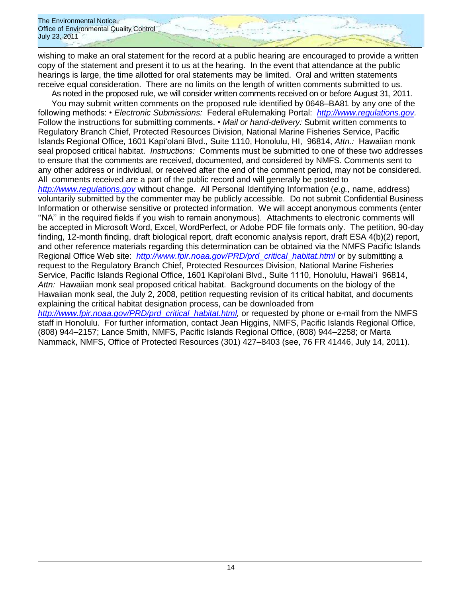The Environmental Notice Office of Environmental Quality Control July 23, 2011

wishing to make an oral statement for the record at a public hearing are encouraged to provide a written copy of the statement and present it to us at the hearing. In the event that attendance at the public hearings is large, the time allotted for oral statements may be limited. Oral and written statements receive equal consideration. There are no limits on the length of written comments submitted to us.

As noted in the proposed rule, we will consider written comments received on or before August 31, 2011. You may submit written comments on the proposed rule identified by 0648–BA81 by any one of the following methods: • *Electronic Submissions:* Federal eRulemaking Portal: *[http://www.regulations.gov.](http://www.regulations.gov/)*  Follow the instructions for submitting comments. • *Mail or hand-delivery:* Submit written comments to Regulatory Branch Chief, Protected Resources Division, National Marine Fisheries Service, Pacific Islands Regional Office, 1601 Kapiʻolani Blvd., Suite 1110, Honolulu, HI, 96814, *Attn.:* Hawaiian monk seal proposed critical habitat. *Instructions:* Comments must be submitted to one of these two addresses to ensure that the comments are received, documented, and considered by NMFS. Comments sent to any other address or individual, or received after the end of the comment period, may not be considered. All comments received are a part of the public record and will generally be posted to *[http://www.regulations.gov](http://www.regulations.gov/)* without change. All Personal Identifying Information (*e.g.,* name, address) voluntarily submitted by the commenter may be publicly accessible. Do not submit Confidential Business Information or otherwise sensitive or protected information. We will accept anonymous comments (enter "NA" in the required fields if you wish to remain anonymous). Attachments to electronic comments will be accepted in Microsoft Word, Excel, WordPerfect, or Adobe PDF file formats only. The petition, 90-day finding, 12-month finding, draft biological report, draft economic analysis report, draft ESA 4(b)(2) report, and other reference materials regarding this determination can be obtained via the NMFS Pacific Islands Regional Office Web site: *[http://www.fpir.noaa.gov/PRD/prd](http://www.fpir.noaa.gov/PRD/prd_critical_habitat.html)*\_*critical*\_*habitat.html* or by submitting a request to the Regulatory Branch Chief, Protected Resources Division, National Marine Fisheries Service, Pacific Islands Regional Office, 1601 Kapiʻolani Blvd., Suite 1110, Honolulu, Hawai"i 96814, *Attn:* Hawaiian monk seal proposed critical habitat. Background documents on the biology of the Hawaiian monk seal, the July 2, 2008, petition requesting revision of its critical habitat, and documents explaining the critical habitat designation process, can be downloaded from *[http://www.fpir.noaa.gov/PRD/prd](http://www.fpir.noaa.gov/PRD/prd_critical_habitat.html)*\_*critical*\_*habitat.html,* or requested by phone or e-mail from the NMFS staff in Honolulu. For further information, contact Jean Higgins, NMFS, Pacific Islands Regional Office, (808) 944–2157; Lance Smith, NMFS, Pacific Islands Regional Office, (808) 944–2258; or Marta Nammack, NMFS, Office of Protected Resources (301) 427–8403 (see, 76 FR 41446, July 14, 2011).